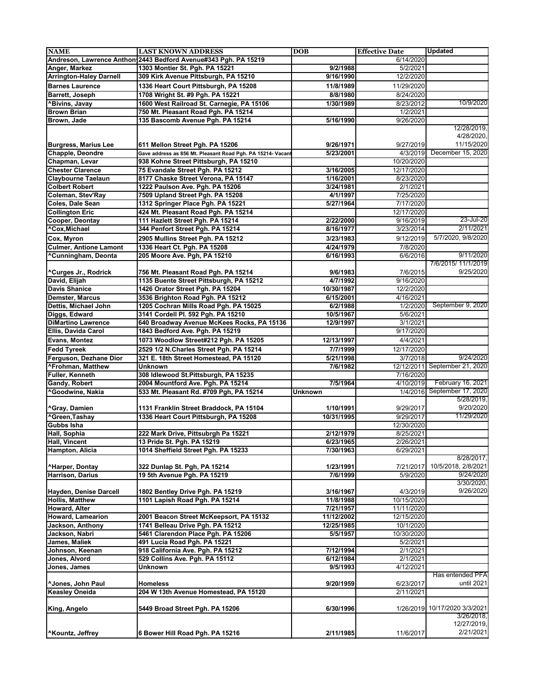| <b>NAME</b>                    | <b>LAST KNOWN ADDRESS</b>                                       | <b>DOB</b> | <b>Effective Date</b> | <b>Updated</b>                |
|--------------------------------|-----------------------------------------------------------------|------------|-----------------------|-------------------------------|
|                                | Andreson, Lawrence Anthon 2443 Bedford Avenue#343 Pgh. PA 15219 |            | 6/14/2020             |                               |
| Anger, Markez                  | 1303 Montier St. Pgh. PA 15221                                  | 9/2/1988   | 5/2/2021              |                               |
| <b>Arrington-Haley Darnell</b> | 309 Kirk Avenue Pittsburgh, PA 15210                            | 9/16/1990  | 12/2/2020             |                               |
| <b>Barnes Laurence</b>         | 1336 Heart Court Pittsburgh, PA 15208                           | 11/8/1989  | 11/29/2020            |                               |
| <b>Barrett, Joseph</b>         | 1708 Wright St. #9 Pgh. PA 15221                                | 8/8/1980   | 8/24/2020             |                               |
| <b>^Bivins, Javay</b>          | 1600 West Railroad St. Carnegie, PA 15106                       | 1/30/1989  | 8/23/2012             | 10/9/2020                     |
| <b>Brown Brian</b>             |                                                                 |            |                       |                               |
|                                | 750 Mt. Pleasant Road Pgh. PA 15214                             |            | 1/2/2021              |                               |
| Brown, Jade                    | 135 Bascomb Avenue Pgh. PA 15214                                | 5/16/1990  | 9/26/2020             |                               |
|                                |                                                                 |            |                       | 12/28/2019,                   |
|                                |                                                                 |            |                       | 4/28/2020,                    |
| <b>Burgress, Marius Lee</b>    | 611 Mellon Street Pgh. PA 15206                                 | 9/26/1971  | 9/27/2019             | 11/15/2020                    |
| Chapple, Deondre               | Gave address as 856 Mt. Pleasant Road Pgh. PA 15214- Vacant     | 5/23/2001  | 4/3/2019              | December 15, 2020             |
| Chapman, Levar                 | 938 Kohne Street Pittsburgh, PA 15210                           |            | 10/20/2020            |                               |
| <b>Chester Clarence</b>        | 75 Evandale Street Pgh. PA 15212                                | 3/16/2005  | 12/17/2020            |                               |
| <b>Claybourne Taelaun</b>      | 8177 Chaske Street Verona, PA 15147                             | 1/16/2001  | 8/23/2020             |                               |
| <b>Colbert Robert</b>          | 1222 Paulson Ave. Pgh. PA 15206                                 | 3/24/1981  | 2/1/2021              |                               |
| <b>Coleman, Stev'Ray</b>       | 7509 Upland Street Pgh. PA 15208                                | 4/1/1997   | 7/25/2020             |                               |
| Coles, Dale Sean               | 1312 Springer Place Pgh. PA 15221                               | 5/27/1964  | 7/17/2020             |                               |
| <b>Collington Eric</b>         | 424 Mt. Pleasant Road Pgh. PA 15214                             |            | 12/17/2020            |                               |
| <b>Cooper, Deontay</b>         | 111 Hazlett Street Pgh. PA 15214                                | 2/22/2000  | 9/16/2019             | 23-Jul-20                     |
| ^Cox, Michael                  | 344 Penfort Street Pgh. PA 15214                                | 8/16/1977  | 3/23/2014             | 2/11/2021                     |
|                                |                                                                 |            |                       | 5/7/2020, 9/8/2020            |
| Cox, Myron                     | 2905 Mullins Street Pgh. PA 15212                               | 3/23/1983  | 9/12/2019             |                               |
| <b>Culmer, Antione Lamont</b>  | 1336 Heart Ct. Pgh. PA 15208                                    | 4/24/1979  | 7/8/2020              |                               |
| ^Cunningham, Deonta            | 205 Moore Ave. Pgh, PA 15210                                    | 6/16/1993  | 6/6/2016              | 9/11/2020                     |
|                                |                                                                 |            |                       | 7/6/2015/ 11/1/2019           |
| <b>^Curges Jr., Rodrick</b>    | 756 Mt. Pleasant Road Pgh. PA 15214                             | 9/6/1983   | 7/6/2015              | 9/25/2020                     |
| David, Elijah                  | 1135 Buente Street Pittsburgh, PA 15212                         | 4/7/1992   | 9/16/2020             |                               |
| <b>Davis Shanice</b>           | 1426 Orator Street Pgh. PA 15204                                | 10/30/1987 | 12/2/2020             |                               |
| <b>Demster, Marcus</b>         | 3536 Brighton Road Pgh. PA 15212                                | 6/15/2001  | 4/16/2021             |                               |
| Dettis, Michael John           | 1205 Cochran Mills Road Pgh. PA 15025                           | 6/2/1988   | 1/2/2020              | September 9, 2020             |
| Diggs, Edward                  | 3141 Cordell Pl. 592 Pgh. PA 15210                              | 10/5/1967  | 5/6/2021              |                               |
| <b>DiMartino Lawrence</b>      | 640 Broadway Avenue McKees Rocks, PA 15136                      | 12/9/1997  | 3/1/2021              |                               |
| Ellis, Davida Carol            | 1843 Bedford Ave. Pgh. PA 15219                                 |            | 9/17/2020             |                               |
| <b>Evans, Montez</b>           | 1073 Woodlow Street#212 Pgh. PA 15205                           | 12/13/1997 | 4/4/2021              |                               |
|                                |                                                                 |            |                       |                               |
| <b>Fedd Tyreek</b>             | 2529 1/2 N.Charles Street Pgh. PA 15214                         | 7/7/1999   | 12/17/2020            |                               |
| Ferguson, Dezhane Dior         | 321 E. 18th Street Homestead, PA 15120                          | 5/21/1998  | 3/7/2018              | 9/24/2020                     |
| <b>^Frohman, Matthew</b>       | <b>Unknown</b>                                                  | 7/6/1982   | 12/12/2011            | September 21, 2020            |
| <b>Fuller, Kenneth</b>         | 308 Idlewood St.Pittsburgh, PA 15235                            |            | 7/16/2020             |                               |
| <b>Gandy, Robert</b>           | 2004 Mountford Ave. Pgh. PA 15214                               | 7/5/1964   | 4/10/2019             | February 16, 2021             |
| ^Goodwine, Nakia               | 533 Mt. Pleasant Rd. #709 Pgh, PA 15214                         | Unknown    | 1/4/2016              | September 17, 2020            |
|                                |                                                                 |            |                       | 5/28/2019                     |
| <b>^Gray, Damien</b>           | 1131 Franklin Street Braddock, PA 15104                         | 1/10/1991  | 9/29/2017             | 9/20/2020                     |
| <b>^Green, Tashay</b>          | 1336 Heart Court Pittsburgh, PA 15208                           | 10/31/1995 | 9/29/2017             | 11/29/2020                    |
| <b>Gubbs Isha</b>              |                                                                 |            | 12/30/2020            |                               |
| Hall, Sophia                   | 222 Mark Drive, Pittsubrgh Pa 15221                             | 2/12/1979  | 8/25/2021             |                               |
| <b>Hall, Vincent</b>           | 13 Pride St. Pgh. PA 15219                                      | 6/23/1965  | 2/26/2021             |                               |
| Hampton, Alicia                | 1014 Sheffield Street Pgh. PA 15233                             | 7/30/1963  | 6/29/2021             |                               |
|                                |                                                                 |            |                       | 8/28/2017,                    |
| <b>^Harper, Dontay</b>         | 322 Dunlap St. Pgh, PA 15214                                    | 1/23/1991  | 7/21/2017             | 10/5/2018, 2/8/2021           |
| <b>Harrison, Darius</b>        | 19 5th Avenue Pgh. PA 15219                                     | 7/6/1999   | 5/9/2020              | 9/24/2020                     |
|                                |                                                                 |            |                       | 3/30/2020,                    |
| Hayden, Denise Darcell         | 1802 Bentley Drive Pgh. PA 15219                                | 3/16/1967  | 4/3/2019              | 9/26/2020                     |
| <b>Hollis, Matthew</b>         | 1101 Lapish Road Pgh. PA 15214                                  | 11/8/1988  | 10/15/2020            |                               |
| <b>Howard, Alter</b>           |                                                                 | 7/21/1957  | 11/11/2020            |                               |
| <b>Howard, Lamearion</b>       |                                                                 |            |                       |                               |
|                                | 2001 Beacon Street McKeepsort, PA 15132                         | 11/12/2002 | 12/15/2020            |                               |
| Jackson, Anthony               | 1741 Belleau Drive Pgh. PA 15212                                | 12/25/1985 | 10/1/2020             |                               |
| Jackson, Nabri                 | 5461 Clarendon Place Pgh. PA 15206                              | 5/5/1957   | 10/30/2020            |                               |
| James, Maliek                  | 491 Lucia Road Pgh. PA 15221                                    |            | 5/2/2021              |                               |
| Johnson, Keenan                | 918 California Ave. Pgh. PA 15212                               | 7/12/1994  | 2/1/2021              |                               |
| Jones, Alvord                  | 529 Collins Ave. Pgh. PA 15112                                  | 6/12/1984  | 2/1/2021              |                               |
| Jones, James                   | <b>Unknown</b>                                                  | 9/5/1993   | 4/12/2021             |                               |
|                                |                                                                 |            |                       | Has entended PFA              |
| ^Jones, John Paul              | <b>Homeless</b>                                                 | 9/20/1959  | 6/23/2017             | until 2021                    |
| <b>Keasley Oneida</b>          | 204 W 13th Avenue Homestead, PA 15120                           |            | 2/11/2021             |                               |
|                                |                                                                 |            |                       |                               |
| King, Angelo                   | 5449 Broad Street Pgh. PA 15206                                 | 6/30/1996  |                       | 1/26/2019 10/17/2020 3/3/2021 |
|                                |                                                                 |            |                       | 3/26/2018.                    |
|                                |                                                                 |            |                       | 12/27/2019,                   |
| <b>^Kountz, Jeffrey</b>        | 6 Bower Hill Road Pgh. PA 15216                                 | 2/11/1985  | 11/6/2017             | 2/21/2021                     |
|                                |                                                                 |            |                       |                               |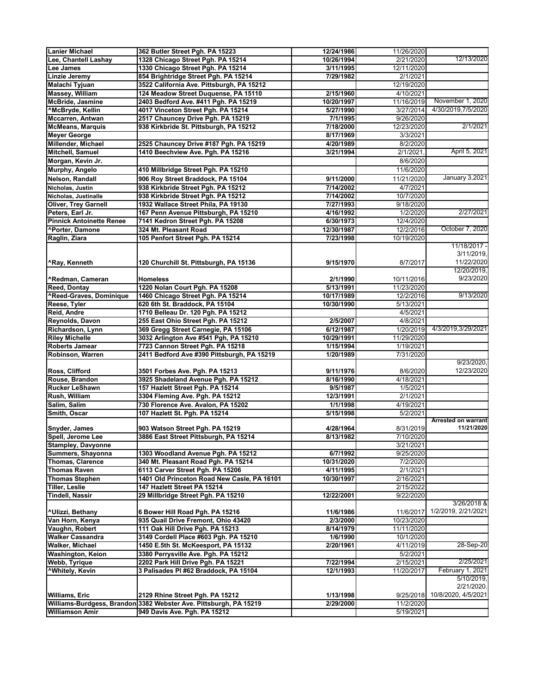| <b>Lanier Michael</b>                             | 362 Butler Street Pgh. PA 15223                                              | 12/24/1986            | 11/26/2020            |                            |
|---------------------------------------------------|------------------------------------------------------------------------------|-----------------------|-----------------------|----------------------------|
| Lee, Chantell Lashay                              | 1328 Chicago Street Pgh. PA 15214                                            | 10/26/1994            | 2/21/2020             | 12/13/2020                 |
| Lee James                                         | 1330 Chicago Street Pgh. PA 15214                                            | 3/11/1995             | 12/11/2020            |                            |
| <b>Linzie Jeremy</b>                              | 854 Brightridge Street Pgh. PA 15214                                         | 7/29/1982             | 2/1/2021              |                            |
| Malachi Tyjuan                                    | 3522 California Ave. Pittsburgh, PA 15212                                    |                       | 12/19/2020            |                            |
| Massey, William                                   | 124 Meadow Street Duquense, PA 15110                                         | 2/15/1960             | 4/10/2021             |                            |
| <b>McBride, Jasmine</b>                           | 2403 Bedford Ave. #411 Pgh. PA 15219                                         | 10/20/1997            | 11/16/2019            | November 1, 2020           |
| <b>^McBryde, Kellin</b>                           | 4017 Vinceton Street Pgh. PA 15214                                           | 5/27/1990             | 3/27/2014             | 4/30/2019,7/5/2020         |
| Mccarren, Antwan                                  | 2517 Chauncey Drive Pgh. PA 15219                                            | 7/1/1995              | 9/26/2020             |                            |
| <b>McMeans, Marquis</b>                           | 938 Kirkbride St. Pittsburgh, PA 15212                                       | 7/18/2000             | 12/23/2020            | 2/1/2021                   |
| <b>Meyer George</b>                               |                                                                              | 8/17/1969             | 3/3/2021              |                            |
| Millender, Michael                                | 2525 Chauncey Drive #187 Pgh. PA 15219                                       | 4/20/1989             | 8/2/2020              |                            |
| <b>Mitchell, Samuel</b>                           | 1410 Beechview Ave. Pgh. PA 15216                                            | 3/21/1994             | 2/1/2021              | April 5, 2021              |
| Morgan, Kevin Jr.                                 |                                                                              |                       | 8/6/2020              |                            |
| Murphy, Angelo                                    | 410 Millbridge Street Pgh. PA 15210                                          |                       | 11/6/2020             |                            |
| Nelson, Randall                                   | 906 Roy Street Braddock, PA 15104                                            | 9/11/2000             | 11/21/2020            | <b>January 3,2021</b>      |
| Nicholas, Justin                                  | 938 Kirkbride Street Pgh. PA 15212                                           | 7/14/2002             | 4/7/2021              |                            |
| <b>Nicholas, Justinalle</b>                       | 938 Kirkbride Street Pgh. PA 15212                                           | 7/14/2002             | 10/7/2020             |                            |
| <b>Oliver, Trey Garnell</b>                       | 1932 Wallace Street Phila, PA 19130                                          | 7/27/1993             | 9/18/2020             |                            |
| Peters, Earl Jr.                                  | 167 Penn Avenue Pittsburgh, PA 15210                                         | 4/16/1992             | 1/2/2020              | 2/27/2021                  |
| <b>Pinnick Antoinette Renee</b>                   | 7141 Kedron Street Pgh. PA 15208                                             | 6/30/1973             | 12/4/2020             |                            |
| <b>^Porter, Damone</b>                            | 324 Mt. Pleasant Road                                                        | 12/30/1987            | 12/2/2016             | October 7, 2020            |
| Raglin, Ziara                                     | 105 Penfort Street Pgh. PA 15214                                             | 7/23/1998             | 10/19/2020            |                            |
|                                                   |                                                                              |                       |                       | 11/18/2017 -               |
|                                                   |                                                                              |                       |                       | 3/11/2019                  |
| ^Ray, Kenneth                                     | 120 Churchill St. Pittsburgh, PA 15136                                       | 9/15/1970             | 8/7/2017              | 11/22/2020                 |
|                                                   |                                                                              |                       |                       | 12/20/2019,                |
| <b>^Redman, Cameran</b>                           | <b>Homeless</b>                                                              | 2/1/1990              | 10/11/2016            | 9/23/2020                  |
| <b>Reed, Dontay</b>                               | 1220 Nolan Court Pgh. PA 15208                                               | 5/13/1991             | 11/23/2020            |                            |
| <b>^Reed-Graves, Dominique</b>                    | 1460 Chicago Street Pgh. PA 15214                                            | 10/17/1989            | 12/2/2016             | 9/13/2020                  |
| Reese, Tyler                                      | 620 6th St. Braddock, PA 15104                                               | 10/30/1990            | 5/13/2021             |                            |
| <b>Reid, Andre</b>                                | 1710 Belleau Dr. 120 Pgh. PA 15212                                           |                       | 4/5/2021              |                            |
| Reynolds, Davon                                   | 255 East Ohio Street Pgh. PA 15212                                           | 2/5/2007              | 4/8/2021              |                            |
| Richardson, Lynn                                  | 369 Gregg Street Carnegie, PA 15106                                          | 6/12/1987             | 1/20/2019             | 4/3/2019,3/29/2021         |
| <b>Riley Michelle</b>                             | 3032 Arlington Ave #541 Pgh, PA 15210                                        | 10/29/1991            | 11/29/2020            |                            |
| <b>Roberts Jamear</b>                             | 7723 Cannon Street Pgh. PA 15218                                             | 1/15/1994             | 1/19/2021             |                            |
| Robinson, Warren                                  | 2411 Bedford Ave #390 Pittsburgh, PA 15219                                   | 1/20/1989             | 7/31/2020             |                            |
|                                                   |                                                                              |                       |                       | 9/23/2020,                 |
| <b>Ross, Clifford</b>                             | 3501 Forbes Ave. Pgh. PA 15213                                               | 9/11/1976             | 8/6/2020              | 12/23/2020                 |
| Rouse, Brandon                                    | 3925 Shadeland Avenue Pgh. PA 15212                                          | 8/16/1990             | 4/18/2021             |                            |
| <b>Rucker LeShawn</b>                             | 157 Hazlett Street Pgh. PA 15214                                             | 9/5/1987              | 1/5/2021              |                            |
| <b>Rush, William</b>                              | 3304 Fleming Ave. Pgh. PA 15212                                              | 12/3/1991             | 2/1/2021              |                            |
| Salim, Salim                                      | 730 Florence Ave. Avalon, PA 15202                                           | 1/1/1998              | 4/19/2021             |                            |
| Smith, Oscar                                      | 107 Hazlett St. Pgh. PA 15214                                                | 5/15/1998             | 5/2/2021              | <b>Arrested on warrant</b> |
| Snyder, James                                     | 903 Watson Street Pgh. PA 15219                                              | 4/28/1964             | 8/31/2019             | 11/21/2020                 |
| Spell, Jerome Lee                                 | 3886 East Street Pittsburgh, PA 15214                                        | 8/13/1982             | 7/10/2020             |                            |
| <b>Stampley, Davyonne</b>                         |                                                                              |                       | 3/21/2021             |                            |
| Summers, Shayonna                                 | 1303 Woodland Avenue Pgh. PA 15212                                           | 6/7/1992              | 9/25/2020             |                            |
| <b>Thomas, Clarence</b>                           | 340 Mt. Pleasant Road Pgh. PA 15214                                          | 10/31/2020            | 7/2/2020              |                            |
| <b>Thomas Raven</b>                               | 6113 Carver Street Pgh. PA 15206                                             | 4/11/1995             | 2/1/2021              |                            |
| <b>Thomas Stephen</b>                             | 1401 Old Princeton Road New Casle, PA 16101                                  | 10/30/1997            | 2/16/2021             |                            |
| <b>Tiller, Leslie</b>                             | 147 Hazlett Street PA 15214                                                  |                       | 2/15/2022             |                            |
| <b>Tindell, Nassir</b>                            | 29 Millbridge Street Pgh. PA 15210                                           | 12/22/2001            | 9/22/2020             |                            |
|                                                   |                                                                              |                       |                       | 3/26/2018 &                |
| <b>^Ulizzi, Bethany</b>                           | 6 Bower Hill Road Pgh. PA 15216                                              | 11/6/1986             | 11/6/2017             | 1/2/2019, 2/21/2021        |
| Van Horn, Kenya                                   | 935 Quail Drive Fremont, Ohio 43420                                          | 2/3/2000              | 10/23/2020            |                            |
| Vaughn, Robert                                    | 111 Oak Hill Drive Pgh. PA 15213                                             | 8/14/1979             | 11/11/2020            |                            |
| <b>Walker Cassandra</b><br><b>Walker, Michael</b> | 3149 Cordell Place #603 Pgh. PA 15210<br>1450 E.5th St. McKeesport, PA 15132 | 1/6/1990<br>2/20/1961 | 10/1/2020             | 28-Sep-20                  |
| <b>Washington, Keion</b>                          | 3380 Perrysville Ave. Pgh. PA 15212                                          |                       | 4/11/2019<br>5/2/2021 |                            |
| <b>Webb, Tyrique</b>                              | 2202 Park Hill Drive Pgh. PA 15221                                           | 7/22/1994             | 2/15/2021             | 2/25/2021                  |
| <b>*Whitely, Kevin</b>                            | 3 Palisades PI #62 Braddock, PA 15104                                        | 12/1/1993             | 11/20/2017            | February 1, 2021           |
|                                                   |                                                                              |                       |                       | 5/10/2019,                 |
|                                                   |                                                                              |                       |                       | 2/21/2020.                 |
| <b>Williams, Eric</b>                             | 2129 Rhine Street Pgh. PA 15212                                              | 1/13/1998             | 9/25/2018             | 10/8/2020, 4/5/2021        |
|                                                   | Williams-Burdgess, Brandon 3382 Webster Ave. Pittsburgh, PA 15219            | 2/29/2000             | 11/2/2020             |                            |
| <b>Williamson Amir</b>                            | 949 Davis Ave. Pgh. PA 15212                                                 |                       | 5/19/2021             |                            |